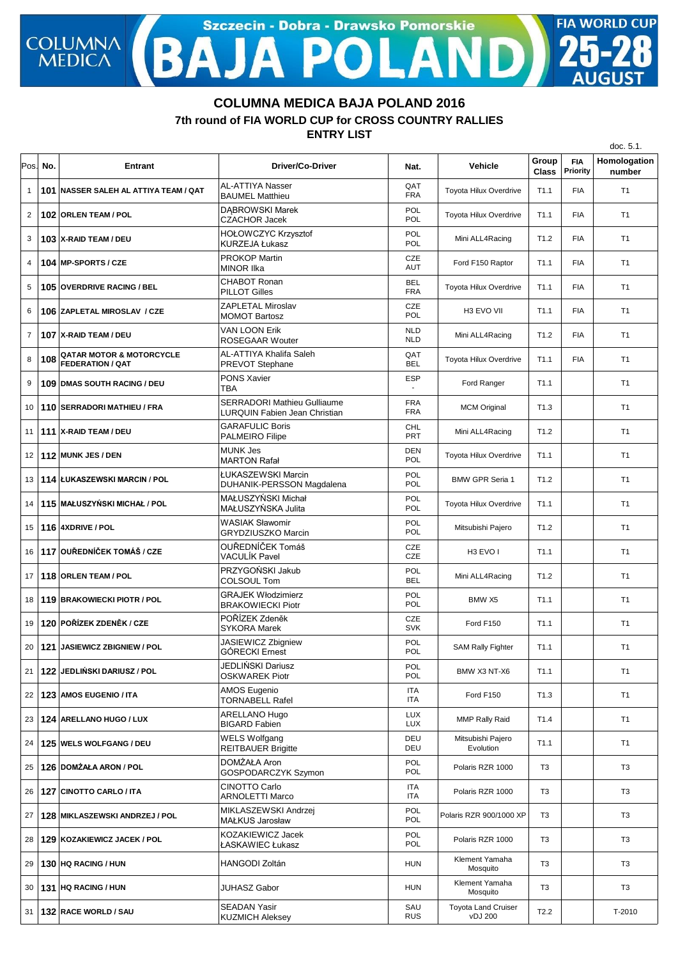## Szczecin - Dobra - Drawsko Pomorskie **FIA WORLD CUP COLUMNA**  $\overline{\mathbf{A}}$

## **7th round of FIA WORLD CUP for CROSS COUNTRY RALLIES COLUMNA MEDICA BAJA POLAND 2016**

**ENTRY LIST**

|                |      |                                                                |                                                                            |                          |                                       |                       |                        | doc. 5.1.              |
|----------------|------|----------------------------------------------------------------|----------------------------------------------------------------------------|--------------------------|---------------------------------------|-----------------------|------------------------|------------------------|
| Pos.           | No.  | <b>Entrant</b>                                                 | Driver/Co-Driver                                                           | Nat.                     | <b>Vehicle</b>                        | Group<br><b>Class</b> | <b>FIA</b><br>Priority | Homologation<br>number |
| $\mathbf{1}$   |      | 101 NASSER SALEH AL ATTIYA TEAM / QAT                          | AL-ATTIYA Nasser<br><b>BAUMEL Matthieu</b>                                 | QAT<br><b>FRA</b>        | Toyota Hilux Overdrive                | T1.1                  | <b>FIA</b>             | T1                     |
| $\overline{2}$ |      | 102 ORLEN TEAM / POL                                           | <b>DABROWSKI Marek</b><br><b>CZACHOR Jacek</b>                             | POL<br>POL               | Toyota Hilux Overdrive                | T1.1                  | <b>FIA</b>             | T1                     |
| 3              |      | 103 X-RAID TEAM / DEU                                          | HOŁOWCZYC Krzysztof<br><b>KURZEJA Łukasz</b>                               | POL<br>POL               | Mini ALL4Racing                       | T <sub>1.2</sub>      | <b>FIA</b>             | T <sub>1</sub>         |
| 4              |      | 104 MP-SPORTS / CZE                                            | <b>PROKOP Martin</b><br><b>MINOR IIka</b>                                  | <b>CZE</b><br><b>AUT</b> | Ford F150 Raptor                      | T1.1                  | <b>FIA</b>             | T <sub>1</sub>         |
| 5              |      | <b>105 OVERDRIVE RACING / BEL</b>                              | <b>CHABOT Ronan</b><br><b>PILLOT Gilles</b>                                | <b>BEL</b><br><b>FRA</b> | Toyota Hilux Overdrive                | T1.1                  | <b>FIA</b>             | T <sub>1</sub>         |
| 6              |      | 106 ZAPLETAL MIROSLAV / CZE                                    | <b>ZAPLETAL Miroslav</b><br><b>MOMOT Bartosz</b>                           | <b>CZE</b><br>POL        | H3 EVO VII                            | T1.1                  | <b>FIA</b>             | T <sub>1</sub>         |
| $\overline{7}$ |      | 107 X-RAID TEAM / DEU                                          | <b>VAN LOON Erik</b><br><b>ROSEGAAR Wouter</b>                             | <b>NLD</b><br><b>NLD</b> | Mini ALL4Racing                       | T1.2                  | <b>FIA</b>             | T <sub>1</sub>         |
| 8              | 108  | <b>QATAR MOTOR &amp; MOTORCYCLE</b><br><b>FEDERATION / QAT</b> | AL-ATTIYA Khalifa Saleh<br>PREVOT Stephane                                 | QAT<br><b>BEL</b>        | Toyota Hilux Overdrive                | T1.1                  | <b>FIA</b>             | T <sub>1</sub>         |
| 9              |      | <b>109 DMAS SOUTH RACING / DEU</b>                             | <b>PONS Xavier</b><br><b>TBA</b>                                           | <b>ESP</b>               | Ford Ranger                           | T1.1                  |                        | T1                     |
| 10             |      | 110 SERRADORI MATHIEU / FRA                                    | <b>SERRADORI Mathieu Gulliaume</b><br><b>LURQUIN Fabien Jean Christian</b> | <b>FRA</b><br><b>FRA</b> | <b>MCM Original</b>                   | T1.3                  |                        | T1                     |
| 11             |      | 111 X-RAID TEAM / DEU                                          | <b>GARAFULIC Boris</b><br><b>PALMEIRO Filipe</b>                           | <b>CHL</b><br><b>PRT</b> | Mini ALL4Racing                       | T1.2                  |                        | T1                     |
| 12             |      | 112 MUNK JES / DEN                                             | <b>MUNK Jes</b><br><b>MARTON Rafał</b>                                     | <b>DEN</b><br>POL        | Toyota Hilux Overdrive                | T1.1                  |                        | T1                     |
| 13             |      | 114 ŁUKASZEWSKI MARCIN / POL                                   | ŁUKASZEWSKI Marcin<br>DUHANIK-PERSSON Magdalena                            | POL<br>POL               | <b>BMW GPR Seria 1</b>                | T1.2                  |                        | T <sub>1</sub>         |
| 14             |      | 115 MAŁUSZYŃSKI MICHAŁ / POL                                   | MAŁUSZYŃSKI Michał<br>MAŁUSZYŃSKA Julita                                   | <b>POL</b><br>POL        | Toyota Hilux Overdrive                | T1.1                  |                        | T1                     |
| 15             |      | 116 4XDRIVE / POL                                              | <b>WASIAK Sławomir</b><br><b>GRYDZIUSZKO Marcin</b>                        | POL<br>POL               | Mitsubishi Pajero                     | T <sub>1.2</sub>      |                        | T <sub>1</sub>         |
| 16             |      | 117 OUŘEDNÍČEK TOMÁŠ / CZE                                     | OUŘEDNÍČEK Tomáš<br>VACULÍK Pavel                                          | <b>CZE</b><br>CZE        | H <sub>3</sub> EVO I                  | T1.1                  |                        | T1                     |
| 17             |      | 118 ORLEN TEAM / POL                                           | PRZYGOŃSKI Jakub<br>COLSOUL Tom                                            | POL<br><b>BEL</b>        | Mini ALL4Racing                       | T <sub>1.2</sub>      |                        | T <sub>1</sub>         |
| 18             |      | 119 BRAKOWIECKI PIOTR / POL                                    | <b>GRAJEK Włodzimierz</b><br><b>BRAKOWIECKI Piotr</b>                      | POL<br>POL               | BMW X5                                | T1.1                  |                        | T <sub>1</sub>         |
| 19             |      | 120 POŘÍZEK ZDENĚK / CZE                                       | POŘÍZEK Zdeněk<br><b>SYKORA Marek</b>                                      | <b>CZE</b><br><b>SVK</b> | Ford F150                             | T1.1                  |                        | T <sub>1</sub>         |
| 20             |      | 121 JASIEWICZ ZBIGNIEW / POL                                   | JASIEWICZ Zbigniew<br><b>GÓRECKI Ernest</b>                                | POL<br>POL               | <b>SAM Rally Fighter</b>              | T1.1                  |                        | T <sub>1</sub>         |
| 21             | 122. | <b>JEDLIŃSKI DARIUSZ / POL</b>                                 | JEDLIŃSKI Dariusz<br><b>OSKWAREK Piotr</b>                                 | <b>POL</b><br>POL        | BMW X3 NT-X6                          | T1.1                  |                        | T <sub>1</sub>         |
| 22             |      | 123 AMOS EUGENIO / ITA                                         | <b>AMOS Eugenio</b><br><b>TORNABELL Rafel</b>                              | ITA<br><b>ITA</b>        | Ford F150                             | T1.3                  |                        | T1                     |
| 23             |      | 124 ARELLANO HUGO / LUX                                        | <b>ARELLANO Hugo</b><br><b>BIGARD Fabien</b>                               | <b>LUX</b><br>LUX        | <b>MMP Rally Raid</b>                 | T <sub>1.4</sub>      |                        | T1                     |
| 24             |      | 125 WELS WOLFGANG / DEU                                        | <b>WELS Wolfgang</b><br><b>REITBAUER Brigitte</b>                          | DEU<br>DEU               | Mitsubishi Pajero<br>Evolution        | T1.1                  |                        | T1                     |
| 25             |      | 126 DOMŻAŁA ARON / POL                                         | DOMŻAŁA Aron<br>GOSPODARCZYK Szymon                                        | POL<br><b>POL</b>        | Polaris RZR 1000                      | T3                    |                        | T <sub>3</sub>         |
| 26             |      | 127 CINOTTO CARLO / ITA                                        | <b>CINOTTO Carlo</b><br><b>ARNOLETTI Marco</b>                             | ITA<br>ITA               | Polaris RZR 1000                      | T <sub>3</sub>        |                        | T <sub>3</sub>         |
| 27             |      | 128 MIKLASZEWSKI ANDRZEJ / POL                                 | MIKLASZEWSKI Andrzej<br>MAŁKUS Jarosław                                    | POL<br>POL               | Polaris RZR 900/1000 XP               | T <sub>3</sub>        |                        | T <sub>3</sub>         |
| 28             |      | 129 KOZAKIEWICZ JACEK / POL                                    | KOZAKIEWICZ Jacek<br>ŁASKAWIEC Łukasz                                      | <b>POL</b><br><b>POL</b> | Polaris RZR 1000                      | T <sub>3</sub>        |                        | T <sub>3</sub>         |
| 29             |      | 130 HQ RACING / HUN                                            | <b>HANGODI Zoltán</b>                                                      | <b>HUN</b>               | Klement Yamaha<br>Mosquito            | T <sub>3</sub>        |                        | T <sub>3</sub>         |
| 30             |      | 131 HQ RACING / HUN                                            | JUHASZ Gabor                                                               | <b>HUN</b>               | Klement Yamaha<br>Mosquito            | T <sub>3</sub>        |                        | T <sub>3</sub>         |
| 31             |      | 132 RACE WORLD / SAU                                           | <b>SEADAN Yasir</b><br><b>KUZMICH Aleksey</b>                              | SAU<br><b>RUS</b>        | <b>Toyota Land Cruiser</b><br>vDJ 200 | T2.2                  |                        | T-2010                 |